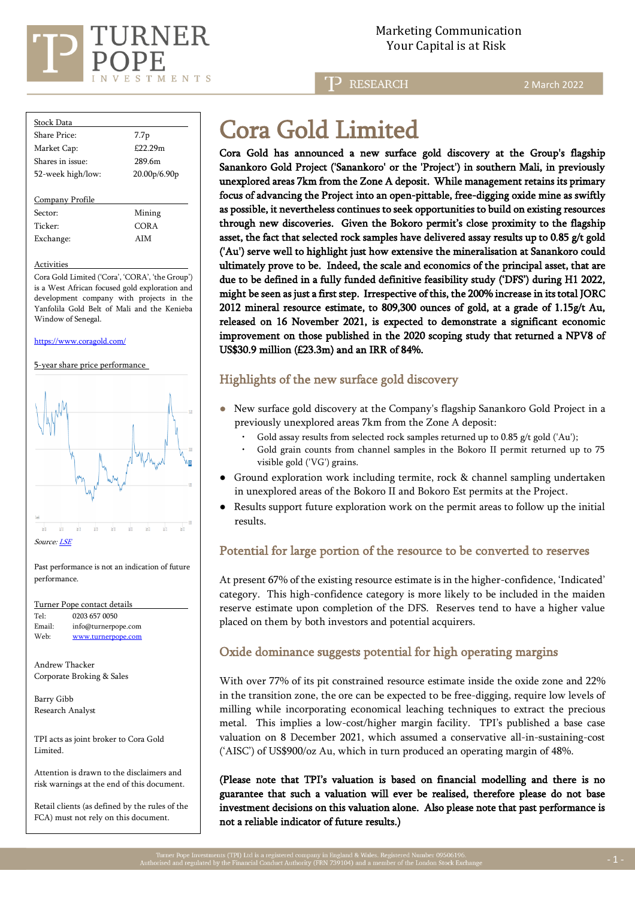

**RESEARCH** 

2 March 2022

| Stock Data        |                  |
|-------------------|------------------|
| Share Price:      | 7.7 <sub>p</sub> |
| Market Cap:       | £2229m           |
| Shares in issue:  | 289.6m           |
| 52-week high/low: | 20.00p/6.90p     |
|                   |                  |
| Company Profile   |                  |
| Sector            | Mining           |

Ticker: CORA Exchange: AIM

Activities

Cora Gold Limited ('Cora', 'CORA', 'the Group') is a West African focused gold exploration and development company with projects in the Yanfolila Gold Belt of Mali and the Kenieba Window of Senegal.

<https://www.coragold.com/>

#### 5-year share price performance



Past performance is not an indication of future performance.

| Turner Pope contact details |                     |
|-----------------------------|---------------------|
| Tel:                        | 0203 657 0050       |
| Email:                      | info@turnerpope.com |
| Web:                        | www.turnerpope.com  |
|                             |                     |

Andrew Thacker Corporate Broking & Sales

Barry Gibb Research Analyst

TPI acts as joint broker to Cora Gold Limited.

Attention is drawn to the disclaimers and risk warnings at the end of this document.

Retail clients (as defined by the rules of the FCA) must not rely on this document.

# Cora Gold Limited

Cora Gold has announced a new surface gold discovery at the Group's flagship Sanankoro Gold Project ('Sanankoro' or the 'Project') in southern Mali, in previously unexplored areas 7km from the Zone A deposit. While management retains its primary focus of advancing the Project into an open-pittable, free-digging oxide mine as swiftly as possible, it nevertheless continues to seek opportunities to build on existing resources through new discoveries. Given the Bokoro permit's close proximity to the flagship asset, the fact that selected rock samples have delivered assay results up to 0.85 g/t gold ('Au') serve well to highlight just how extensive the mineralisation at Sanankoro could ultimately prove to be. Indeed, the scale and economics of the principal asset, that are due to be defined in a fully funded definitive feasibility study ('DFS') during H1 2022, might be seen as just a first step. Irrespective of this, the 200% increase in its total JORC 2012 mineral resource estimate, to 809,300 ounces of gold, at a grade of 1.15g/t Au, released on 16 November 2021, is expected to demonstrate a significant economic improvement on those published in the 2020 scoping study that returned a NPV8 of US\$30.9 million (£23.3m) and an IRR of 84%.

## Highlights of the new surface gold discovery

- New surface gold discovery at the Company's flagship Sanankoro Gold Project in a previously unexplored areas 7km from the Zone A deposit:
	- Gold assay results from selected rock samples returned up to 0.85  $g$ /t gold ('Au');
	- Gold grain counts from channel samples in the Bokoro II permit returned up to 75 visible gold ('VG') grains.
- Ground exploration work including termite, rock & channel sampling undertaken in unexplored areas of the Bokoro II and Bokoro Est permits at the Project.
- Results support future exploration work on the permit areas to follow up the initial results.

## Potential for large portion of the resource to be converted to reserves

At present 67% of the existing resource estimate is in the higher-confidence, 'Indicated' category. This high-confidence category is more likely to be included in the maiden reserve estimate upon completion of the DFS. Reserves tend to have a higher value placed on them by both investors and potential acquirers.

## Oxide dominance suggests potential for high operating margins

With over 77% of its pit constrained resource estimate inside the oxide zone and 22% in the transition zone, the ore can be expected to be free-digging, require low levels of milling while incorporating economical leaching techniques to extract the precious metal. This implies a low-cost/higher margin facility. TPI's published a base case valuation on 8 December 2021, which assumed a conservative all-in-sustaining-cost ('AISC') of US\$900/oz Au, which in turn produced an operating margin of 48%.

(Please note that TPI's valuation is based on financial modelling and there is no guarantee that such a valuation will ever be realised, therefore please do not base investment decisions on this valuation alone. Also please note that past performance is not a reliable indicator of future results.)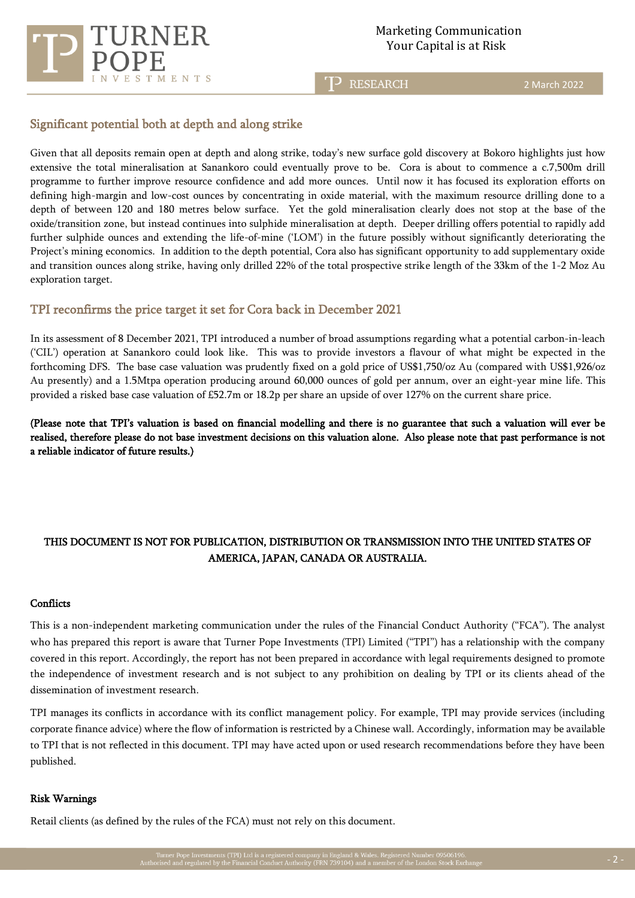

#### Marketing Communication Your Capital is at Risk

TP RESEARCH

2 March 2022

## Significant potential both at depth and along strike

Given that all deposits remain open at depth and along strike, today's new surface gold discovery at Bokoro highlights just how extensive the total mineralisation at Sanankoro could eventually prove to be. Cora is about to commence a c.7,500m drill programme to further improve resource confidence and add more ounces. Until now it has focused its exploration efforts on defining high-margin and low-cost ounces by concentrating in oxide material, with the maximum resource drilling done to a depth of between 120 and 180 metres below surface. Yet the gold mineralisation clearly does not stop at the base of the oxide/transition zone, but instead continues into sulphide mineralisation at depth. Deeper drilling offers potential to rapidly add further sulphide ounces and extending the life-of-mine ('LOM') in the future possibly without significantly deteriorating the Project's mining economics. In addition to the depth potential, Cora also has significant opportunity to add supplementary oxide and transition ounces along strike, having only drilled 22% of the total prospective strike length of the 33km of the 1-2 Moz Au exploration target.

## TPI reconfirms the price target it set for Cora back in December 2021

In its assessment of 8 December 2021, TPI introduced a number of broad assumptions regarding what a potential carbon-in-leach ('CIL') operation at Sanankoro could look like. This was to provide investors a flavour of what might be expected in the forthcoming DFS. The base case valuation was prudently fixed on a gold price of US\$1,750/oz Au (compared with US\$1,926/oz Au presently) and a 1.5Mtpa operation producing around 60,000 ounces of gold per annum, over an eight-year mine life. This provided a risked base case valuation of £52.7m or 18.2p per share an upside of over 127% on the current share price.

(Please note that TPI's valuation is based on financial modelling and there is no guarantee that such a valuation will ever be realised, therefore please do not base investment decisions on this valuation alone. Also please note that past performance is not a reliable indicator of future results.)

## THIS DOCUMENT IS NOT FOR PUBLICATION, DISTRIBUTION OR TRANSMISSION INTO THE UNITED STATES OF AMERICA, JAPAN, CANADA OR AUSTRALIA.

#### **Conflicts**

This is a non-independent marketing communication under the rules of the Financial Conduct Authority ("FCA"). The analyst who has prepared this report is aware that Turner Pope Investments (TPI) Limited ("TPI") has a relationship with the company covered in this report. Accordingly, the report has not been prepared in accordance with legal requirements designed to promote the independence of investment research and is not subject to any prohibition on dealing by TPI or its clients ahead of the dissemination of investment research.

TPI manages its conflicts in accordance with its conflict management policy. For example, TPI may provide services (including corporate finance advice) where the flow of information is restricted by a Chinese wall. Accordingly, information may be available to TPI that is not reflected in this document. TPI may have acted upon or used research recommendations before they have been published.

#### Risk Warnings

Retail clients (as defined by the rules of the FCA) must not rely on this document.